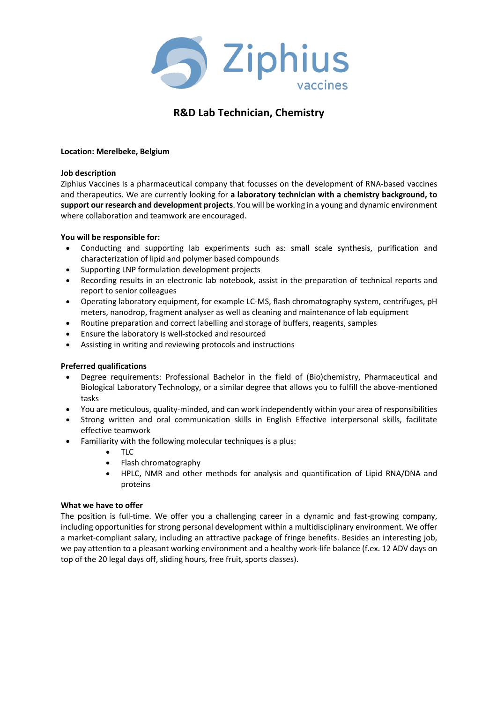

# **R&D Lab Technician, Chemistry**

## **Location: Merelbeke, Belgium**

#### **Job description**

Ziphius Vaccines is a pharmaceutical company that focusses on the development of RNA-based vaccines and therapeutics. We are currently looking for **a laboratory technician with a chemistry background, to support our research and development projects**. You will be working in a young and dynamic environment where collaboration and teamwork are encouraged.

### **You will be responsible for:**

- Conducting and supporting lab experiments such as: small scale synthesis, purification and characterization of lipid and polymer based compounds
- Supporting LNP formulation development projects
- Recording results in an electronic lab notebook, assist in the preparation of technical reports and report to senior colleagues
- Operating laboratory equipment, for example LC-MS, flash chromatography system, centrifuges, pH meters, nanodrop, fragment analyser as well as cleaning and maintenance of lab equipment
- Routine preparation and correct labelling and storage of buffers, reagents, samples
- Ensure the laboratory is well-stocked and resourced
- Assisting in writing and reviewing protocols and instructions

## **Preferred qualifications**

- Degree requirements: Professional Bachelor in the field of (Bio)chemistry, Pharmaceutical and Biological Laboratory Technology, or a similar degree that allows you to fulfill the above-mentioned tasks
- You are meticulous, quality-minded, and can work independently within your area of responsibilities
- Strong written and oral communication skills in English Effective interpersonal skills, facilitate effective teamwork
- Familiarity with the following molecular techniques is a plus:
	- TLC
	- Flash chromatography
	- HPLC, NMR and other methods for analysis and quantification of Lipid RNA/DNA and proteins

#### **What we have to offer**

The position is full-time. We offer you a challenging career in a dynamic and fast-growing company, including opportunities for strong personal development within a multidisciplinary environment. We offer a market-compliant salary, including an attractive package of fringe benefits. Besides an interesting job, we pay attention to a pleasant working environment and a healthy work-life balance (f.ex. 12 ADV days on top of the 20 legal days off, sliding hours, free fruit, sports classes).